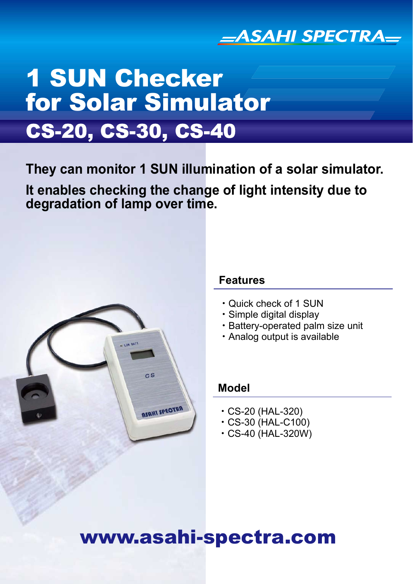

# CS-20, CS-30, CS-40 1 SUN Checker for Solar Simulator

**They can monitor 1 SUN illumination of a solar simulator.**

**It enables checking the change of light intensity due to degradation of lamp over time.**



### **Features**

- ・Quick check of 1 SUN
- ・Simple digital display
- ・Battery-operated palm size unit
- ・Analog output is available

## **Model**

- ・CS-20 (HAL-320)
- ・CS-30 (HAL-C100)
- ・CS-40 (HAL-320W)

# www.asahi-spectra.com